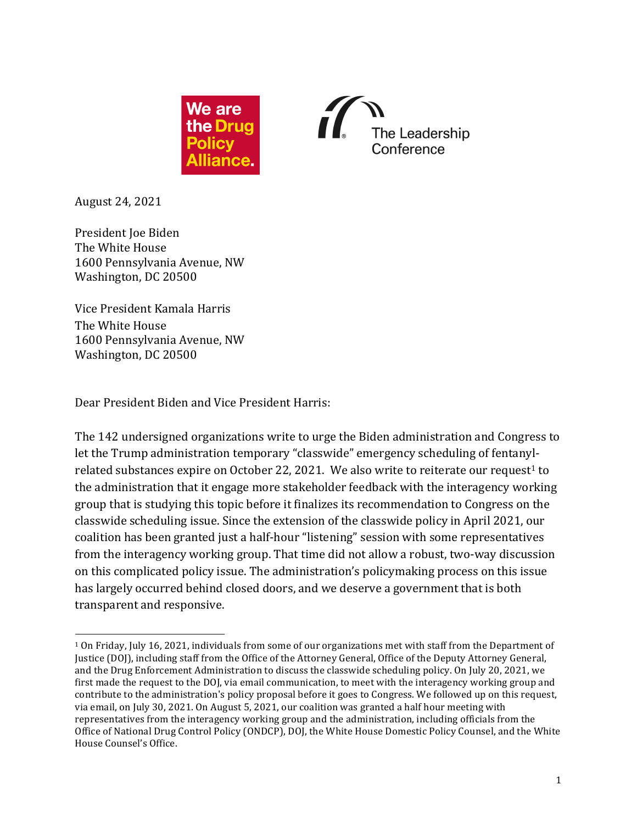



August 24, 2021 

President Joe Biden The White House 1600 Pennsylvania Avenue, NW Washington, DC 20500

Vice President Kamala Harris The White House 1600 Pennsylvania Avenue, NW Washington, DC 20500

Dear President Biden and Vice President Harris:

The 142 undersigned organizations write to urge the Biden administration and Congress to let the Trump administration temporary "classwide" emergency scheduling of fentanylrelated substances expire on October 22, 2021. We also write to reiterate our request<sup>1</sup> to the administration that it engage more stakeholder feedback with the interagency working group that is studying this topic before it finalizes its recommendation to Congress on the classwide scheduling issue. Since the extension of the classwide policy in April 2021, our coalition has been granted just a half-hour "listening" session with some representatives from the interagency working group. That time did not allow a robust, two-way discussion on this complicated policy issue. The administration's policymaking process on this issue has largely occurred behind closed doors, and we deserve a government that is both transparent and responsive.

<sup>&</sup>lt;sup>1</sup> On Friday, July 16, 2021, individuals from some of our organizations met with staff from the Department of Justice (DOJ), including staff from the Office of the Attorney General, Office of the Deputy Attorney General, and the Drug Enforcement Administration to discuss the classwide scheduling policy. On July 20, 2021, we first made the request to the DOJ, via email communication, to meet with the interagency working group and contribute to the administration's policy proposal before it goes to Congress. We followed up on this request, via email, on July 30, 2021. On August 5, 2021, our coalition was granted a half hour meeting with representatives from the interagency working group and the administration, including officials from the Office of National Drug Control Policy (ONDCP), DOJ, the White House Domestic Policy Counsel, and the White House Counsel's Office.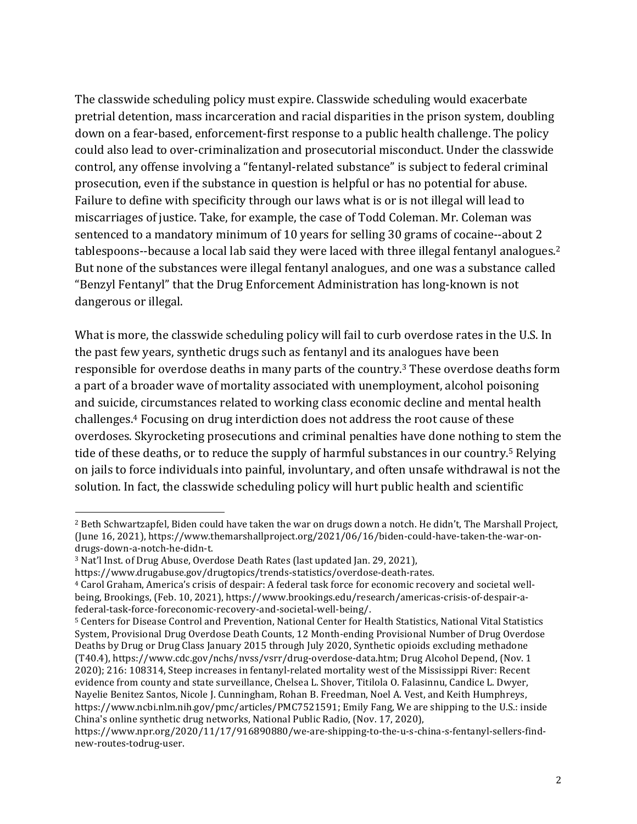The classwide scheduling policy must expire. Classwide scheduling would exacerbate pretrial detention, mass incarceration and racial disparities in the prison system, doubling down on a fear-based, enforcement-first response to a public health challenge. The policy could also lead to over-criminalization and prosecutorial misconduct. Under the classwide control, any offense involving a "fentanyl-related substance" is subject to federal criminal prosecution, even if the substance in question is helpful or has no potential for abuse. Failure to define with specificity through our laws what is or is not illegal will lead to miscarriages of justice. Take, for example, the case of Todd Coleman. Mr. Coleman was sentenced to a mandatory minimum of 10 years for selling 30 grams of cocaine--about 2 tablespoons--because a local lab said they were laced with three illegal fentanyl analogues.<sup>2</sup> But none of the substances were illegal fentanyl analogues, and one was a substance called "Benzyl Fentanyl" that the Drug Enforcement Administration has long-known is not dangerous or illegal.

What is more, the classwide scheduling policy will fail to curb overdose rates in the U.S. In the past few years, synthetic drugs such as fentanyl and its analogues have been responsible for overdose deaths in many parts of the country.<sup>3</sup> These overdose deaths form a part of a broader wave of mortality associated with unemployment, alcohol poisoning and suicide, circumstances related to working class economic decline and mental health challenges.<sup>4</sup> Focusing on drug interdiction does not address the root cause of these overdoses. Skyrocketing prosecutions and criminal penalties have done nothing to stem the tide of these deaths, or to reduce the supply of harmful substances in our country.<sup>5</sup> Relying on jails to force individuals into painful, involuntary, and often unsafe withdrawal is not the solution. In fact, the classwide scheduling policy will hurt public health and scientific

<sup>&</sup>lt;sup>2</sup> Beth Schwartzapfel, Biden could have taken the war on drugs down a notch. He didn't, The Marshall Project, (June 16, 2021), https://www.themarshallproject.org/2021/06/16/biden-could-have-taken-the-war-ondrugs-down-a-notch-he-didn-t. 

<sup>&</sup>lt;sup>3</sup> Nat'l Inst. of Drug Abuse, Overdose Death Rates (last updated Jan. 29, 2021),

https://www.drugabuse.gov/drugtopics/trends-statistics/overdose-death-rates.

<sup>&</sup>lt;sup>4</sup> Carol Graham, America's crisis of despair: A federal task force for economic recovery and societal wellbeing, Brookings, (Feb. 10, 2021), https://www.brookings.edu/research/americas-crisis-of-despair-afederal-task-force-foreconomic-recovery-and-societal-well-being/.

<sup>5</sup> Centers for Disease Control and Prevention, National Center for Health Statistics, National Vital Statistics System, Provisional Drug Overdose Death Counts, 12 Month-ending Provisional Number of Drug Overdose Deaths by Drug or Drug Class January 2015 through July 2020, Synthetic opioids excluding methadone (T40.4), https://www.cdc.gov/nchs/nvss/vsrr/drug-overdose-data.htm; Drug Alcohol Depend, (Nov. 1) 2020); 216: 108314, Steep increases in fentanyl-related mortality west of the Mississippi River: Recent evidence from county and state surveillance, Chelsea L. Shover, Titilola O. Falasinnu, Candice L. Dwyer, Nayelie Benitez Santos, Nicole J. Cunningham, Rohan B. Freedman, Noel A. Vest, and Keith Humphreys, https://www.ncbi.nlm.nih.gov/pmc/articles/PMC7521591; Emily Fang, We are shipping to the U.S.: inside China's online synthetic drug networks, National Public Radio, (Nov. 17, 2020),

https://www.npr.org/2020/11/17/916890880/we-are-shipping-to-the-u-s-china-s-fentanyl-sellers-findnew-routes-todrug-user.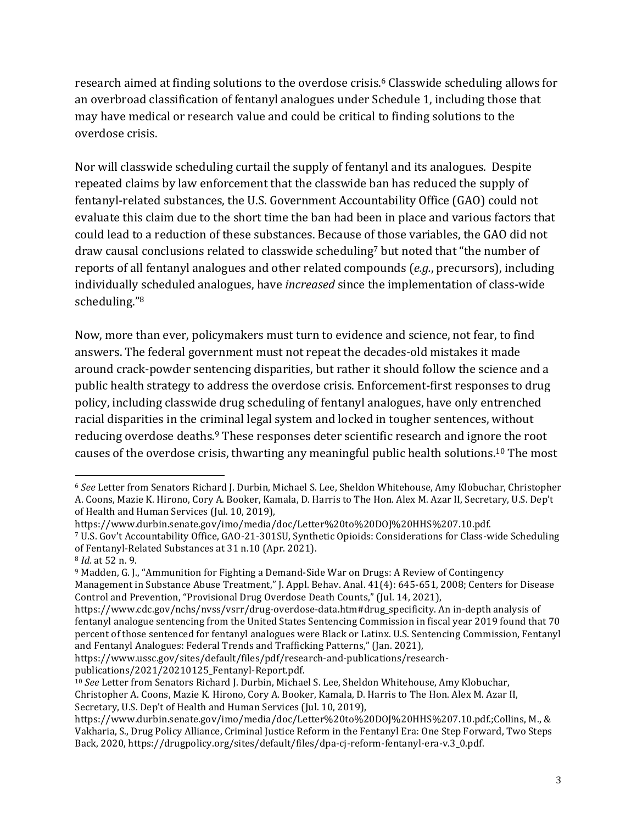research aimed at finding solutions to the overdose crisis.<sup>6</sup> Classwide scheduling allows for an overbroad classification of fentanyl analogues under Schedule 1, including those that may have medical or research value and could be critical to finding solutions to the overdose crisis.

Nor will classwide scheduling curtail the supply of fentanyl and its analogues. Despite repeated claims by law enforcement that the classwide ban has reduced the supply of fentanyl-related substances, the U.S. Government Accountability Office (GAO) could not evaluate this claim due to the short time the ban had been in place and various factors that could lead to a reduction of these substances. Because of those variables, the GAO did not draw causal conclusions related to classwide scheduling<sup>7</sup> but noted that "the number of reports of all fentanyl analogues and other related compounds (*e.g.*, precursors), including individually scheduled analogues, have *increased* since the implementation of class-wide scheduling."8

Now, more than ever, policymakers must turn to evidence and science, not fear, to find answers. The federal government must not repeat the decades-old mistakes it made around crack-powder sentencing disparities, but rather it should follow the science and a public health strategy to address the overdose crisis. Enforcement-first responses to drug policy, including classwide drug scheduling of fentanyl analogues, have only entrenched racial disparities in the criminal legal system and locked in tougher sentences, without reducing overdose deaths.<sup>9</sup> These responses deter scientific research and ignore the root causes of the overdose crisis, thwarting any meaningful public health solutions.<sup>10</sup> The most

https://www.ussc.gov/sites/default/files/pdf/research-and-publications/researchpublications/2021/20210125\_Fentanyl-Report.pdf.

<sup>6</sup> See Letter from Senators Richard J. Durbin, Michael S. Lee, Sheldon Whitehouse, Amy Klobuchar, Christopher A. Coons, Mazie K. Hirono, Cory A. Booker, Kamala, D. Harris to The Hon. Alex M. Azar II, Secretary, U.S. Dep't of Health and Human Services (Jul. 10, 2019),

https://www.durbin.senate.gov/imo/media/doc/Letter%20to%20DOJ%20HHS%207.10.pdf.

<sup>7</sup> U.S. Gov't Accountability Office, GAO-21-301SU, Synthetic Opioids: Considerations for Class-wide Scheduling of Fentanyl-Related Substances at 31 n.10 (Apr. 2021).

<sup>8</sup> *Id.* at 52 n. 9. 

<sup>&</sup>lt;sup>9</sup> Madden, G. J., "Ammunition for Fighting a Demand-Side War on Drugs: A Review of Contingency Management in Substance Abuse Treatment," J. Appl. Behav. Anal. 41(4): 645-651, 2008; Centers for Disease Control and Prevention, "Provisional Drug Overdose Death Counts," (Jul. 14, 2021).

https://www.cdc.gov/nchs/nvss/vsrr/drug-overdose-data.htm#drug\_specificity. An in-depth analysis of fentanyl analogue sentencing from the United States Sentencing Commission in fiscal year 2019 found that 70 percent of those sentenced for fentanyl analogues were Black or Latinx. U.S. Sentencing Commission, Fentanyl and Fentanyl Analogues: Federal Trends and Trafficking Patterns," (Jan. 2021),

<sup>&</sup>lt;sup>10</sup> See Letter from Senators Richard J. Durbin, Michael S. Lee, Sheldon Whitehouse, Amy Klobuchar, Christopher A. Coons, Mazie K. Hirono, Cory A. Booker, Kamala, D. Harris to The Hon. Alex M. Azar II, Secretary, U.S. Dep't of Health and Human Services (Jul. 10, 2019),

https://www.durbin.senate.gov/imo/media/doc/Letter%20to%20DOJ%20HHS%207.10.pdf.;Collins, M., & Vakharia, S., Drug Policy Alliance, Criminal Justice Reform in the Fentanyl Era: One Step Forward, Two Steps Back, 2020, https://drugpolicy.org/sites/default/files/dpa-cj-reform-fentanyl-era-v.3\_0.pdf.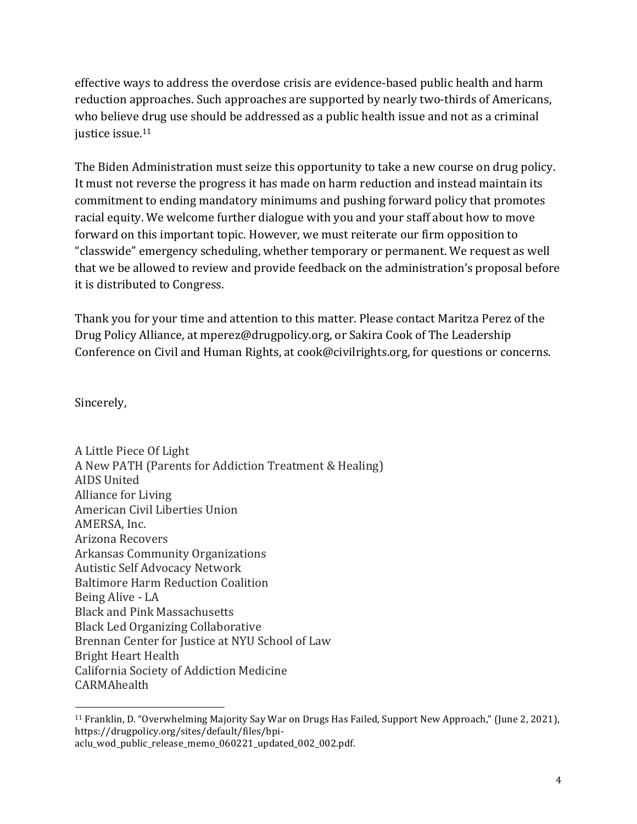effective ways to address the overdose crisis are evidence-based public health and harm reduction approaches. Such approaches are supported by nearly two-thirds of Americans, who believe drug use should be addressed as a public health issue and not as a criminal justice issue.<sup>11</sup>

The Biden Administration must seize this opportunity to take a new course on drug policy. It must not reverse the progress it has made on harm reduction and instead maintain its commitment to ending mandatory minimums and pushing forward policy that promotes racial equity. We welcome further dialogue with you and your staff about how to move forward on this important topic. However, we must reiterate our firm opposition to "classwide" emergency scheduling, whether temporary or permanent. We request as well that we be allowed to review and provide feedback on the administration's proposal before it is distributed to Congress.

Thank you for your time and attention to this matter. Please contact Maritza Perez of the Drug Policy Alliance, at mperez@drugpolicy.org, or Sakira Cook of The Leadership Conference on Civil and Human Rights, at cook@civilrights.org, for questions or concerns.

Sincerely, 

A Little Piece Of Light A New PATH (Parents for Addiction Treatment & Healing) AIDS United Alliance for Living American Civil Liberties Union AMERSA, Inc. Arizona Recovers Arkansas Community Organizations Autistic Self Advocacy Network **Baltimore Harm Reduction Coalition** Being Alive - LA Black and Pink Massachusetts Black Led Organizing Collaborative Brennan Center for Justice at NYU School of Law Bright Heart Health California Society of Addiction Medicine **CARMAhealth** 

<sup>&</sup>lt;sup>11</sup> Franklin, D. "Overwhelming Majority Say War on Drugs Has Failed, Support New Approach," (June 2, 2021), https://drugpolicy.org/sites/default/files/bpiaclu\_wod\_public\_release\_memo\_060221\_updated\_002\_002.pdf.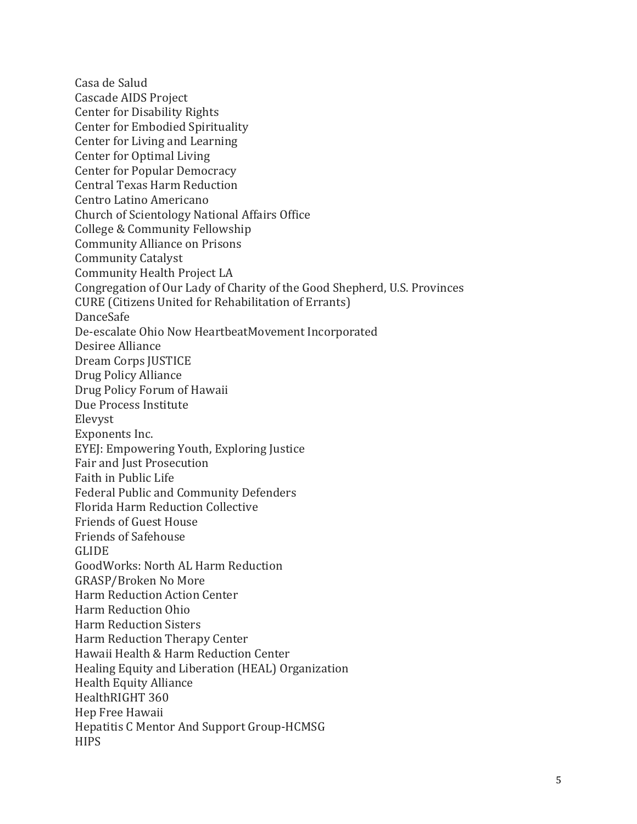Casa de Salud Cascade AIDS Project Center for Disability Rights Center for Embodied Spirituality Center for Living and Learning Center for Optimal Living Center for Popular Democracy Central Texas Harm Reduction Centro Latino Americano Church of Scientology National Affairs Office College & Community Fellowship Community Alliance on Prisons Community Catalyst Community Health Project LA Congregation of Our Lady of Charity of the Good Shepherd, U.S. Provinces CURE (Citizens United for Rehabilitation of Errants) DanceSafe De-escalate Ohio Now HeartbeatMovement Incorporated Desiree Alliance Dream Corps JUSTICE Drug Policy Alliance Drug Policy Forum of Hawaii Due Process Institute Elevyst Exponents Inc. EYEJ: Empowering Youth, Exploring Justice Fair and Just Prosecution Faith in Public Life Federal Public and Community Defenders Florida Harm Reduction Collective Friends of Guest House Friends of Safehouse GLIDE GoodWorks: North AL Harm Reduction GRASP/Broken No More Harm Reduction Action Center Harm Reduction Ohio Harm Reduction Sisters Harm Reduction Therapy Center Hawaii Health & Harm Reduction Center Healing Equity and Liberation (HEAL) Organization Health Equity Alliance HealthRIGHT 360 Hep Free Hawaii Hepatitis C Mentor And Support Group-HCMSG **HIPS**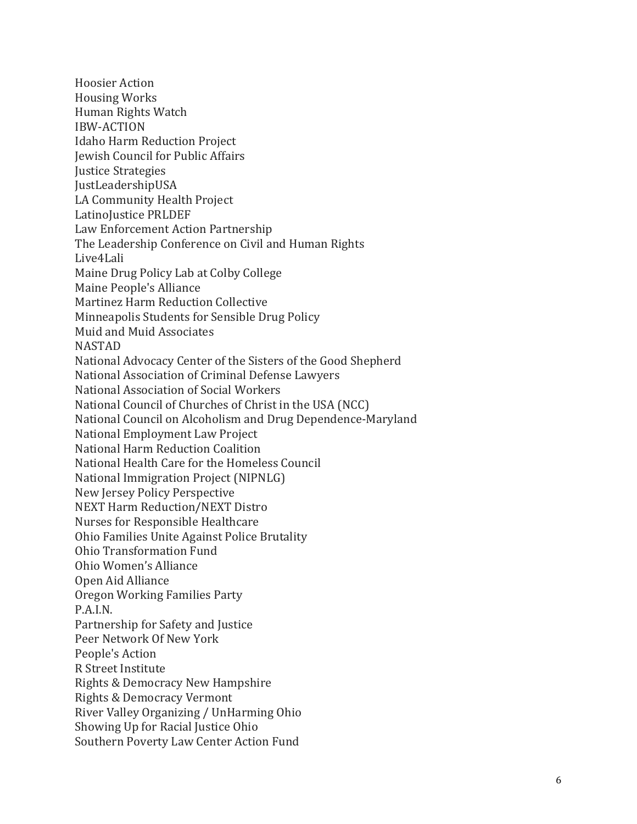Hoosier Action Housing Works Human Rights Watch IBW-ACTION Idaho Harm Reduction Project Jewish Council for Public Affairs **Justice Strategies** JustLeadershipUSA LA Community Health Project LatinoJustice PRLDEF Law Enforcement Action Partnership The Leadership Conference on Civil and Human Rights Live4Lali Maine Drug Policy Lab at Colby College Maine People's Alliance Martinez Harm Reduction Collective Minneapolis Students for Sensible Drug Policy Muid and Muid Associates NASTAD National Advocacy Center of the Sisters of the Good Shepherd National Association of Criminal Defense Lawyers National Association of Social Workers National Council of Churches of Christ in the USA (NCC) National Council on Alcoholism and Drug Dependence-Maryland National Employment Law Project National Harm Reduction Coalition National Health Care for the Homeless Council National Immigration Project (NIPNLG) New Jersey Policy Perspective NEXT Harm Reduction/NEXT Distro Nurses for Responsible Healthcare Ohio Families Unite Against Police Brutality Ohio Transformation Fund Ohio Women's Alliance Open Aid Alliance Oregon Working Families Party P.A.I.N. Partnership for Safety and Justice Peer Network Of New York People's Action R Street Institute Rights & Democracy New Hampshire Rights & Democracy Vermont River Valley Organizing / UnHarming Ohio Showing Up for Racial Justice Ohio Southern Poverty Law Center Action Fund